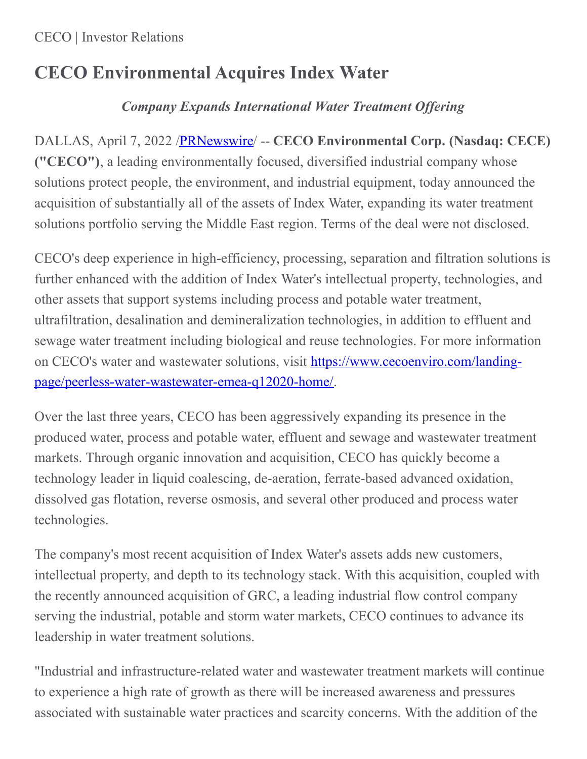### CECO | Investor Relations

# **CECO Environmental Acquires Index Water**

## *Company Expands International Water Treatment Of ering*

DALLAS, April 7, 2022 [/PRNewswire](http://www.prnewswire.com/)/ -- **CECO Environmental Corp. (Nasdaq: CECE) ("CECO")**, a leading environmentally focused, diversified industrial company whose solutions protect people, the environment, and industrial equipment, today announced the acquisition of substantially all of the assets of Index Water, expanding its water treatment solutions portfolio serving the Middle East region. Terms of the deal were not disclosed.

CECO's deep experience in high-efficiency, processing, separation and filtration solutions is further enhanced with the addition of Index Water's intellectual property, technologies, and other assets that support systems including process and potable water treatment, ultrafiltration, desalination and demineralization technologies, in addition to effluent and sewage water treatment including biological and reuse technologies. For more information on CECO's water and wastewater solutions, visit https://www.cecoenviro.com/landing[page/peerless-water-wastewater-emea-q12020-home/.](https://c212.net/c/link/?t=0&l=en&o=3497329-1&h=207450054&u=https%3A%2F%2Fwww.cecoenviro.com%2Flanding-page%2Fpeerless-water-wastewater-emea-q12020-home%2F&a=https%3A%2F%2Fwww.cecoenviro.com%2Flanding-page%2Fpeerless-water-wastewater-emea-q12020-home%2F)

Over the last three years, CECO has been aggressively expanding its presence in the produced water, process and potable water, effluent and sewage and wastewater treatment markets. Through organic innovation and acquisition, CECO has quickly become a technology leader in liquid coalescing, de-aeration, ferrate-based advanced oxidation, dissolved gas flotation, reverse osmosis, and several other produced and process water technologies.

The company's most recent acquisition of Index Water's assets adds new customers, intellectual property, and depth to its technology stack. With this acquisition, coupled with the recently announced acquisition of GRC, a leading industrial flow control company serving the industrial, potable and storm water markets, CECO continues to advance its leadership in water treatment solutions.

"Industrial and infrastructure-related water and wastewater treatment markets will continue to experience a high rate of growth as there will be increased awareness and pressures associated with sustainable water practices and scarcity concerns. With the addition of the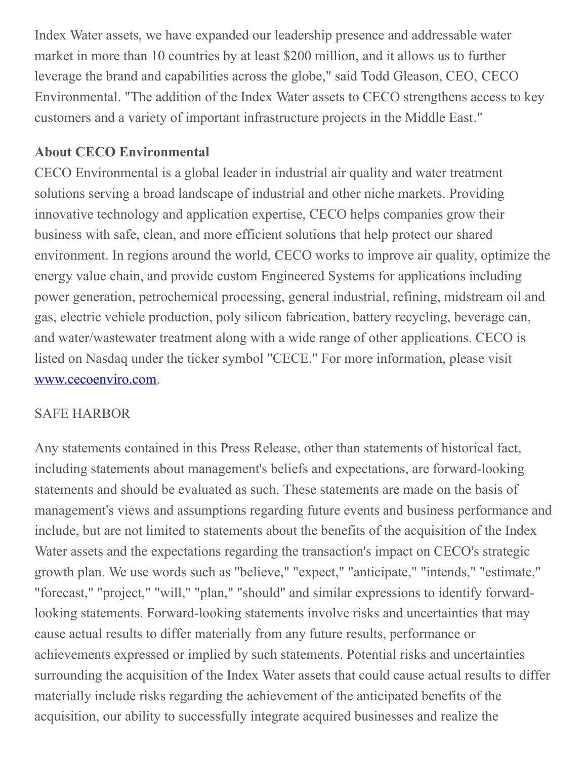Index Water assets, we have expanded our leadership presence and addressable water market in more than 10 countries by at least \$200 million, and it allows us to further leverage the brand and capabilities across the globe," said Todd Gleason, CEO, CECO Environmental. "The addition of the Index Water assets to CECO strengthens access to key customers and a variety of important infrastructure projects in the Middle East."

### **About CECO Environmental**

CECO Environmental is a global leader in industrial air quality and water treatment solutions serving a broad landscape of industrial and other niche markets. Providing innovative technology and application expertise, CECO helps companies grow their business with safe, clean, and more efficient solutions that help protect our shared environment. In regions around the world, CECO works to improve air quality, optimize the energy value chain, and provide custom Engineered Systems for applications including power generation, petrochemical processing, general industrial, refining, midstream oil and gas, electric vehicle production, poly silicon fabrication, battery recycling, beverage can, and water/wastewater treatment along with a wide range of other applications. CECO is listed on Nasdaq under the ticker symbol "CECE." For more information, please visit [www.cecoenviro.com](http://www.cecoenviro.com).

#### SAFE HARBOR

Any statements contained in this Press Release, other than statements of historical fact, including statements about management's beliefs and expectations, are forward-looking statements and should be evaluated as such. These statements are made on the basis of management's views and assumptions regarding future events and business performance and include, but are not limited to statements about the benefits of the acquisition of the Index Water assets and the expectations regarding the transaction's impact on CECO's strategic growth plan. We use words such as "believe," "expect," "anticipate," "intends," "estimate," "forecast," "project," "will," "plan," "should" and similar expressions to identify forwardlooking statements. Forward-looking statements involve risks and uncertainties that may cause actual results to differ materially from any future results, performance or achievements expressed or implied by such statements. Potential risks and uncertainties surrounding the acquisition of the Index Water assets that could cause actual results to differ materially include risks regarding the achievement of the anticipated benefits of the acquisition, our ability to successfully integrate acquired businesses and realize the